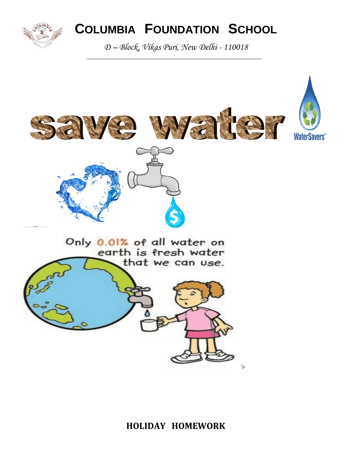

# **COLUMBIA FOUNDATION SCHOOL**

*D – Block, Vikas Puri, New Delhi - 110018*



#### **HOLIDAY HOMEWORK**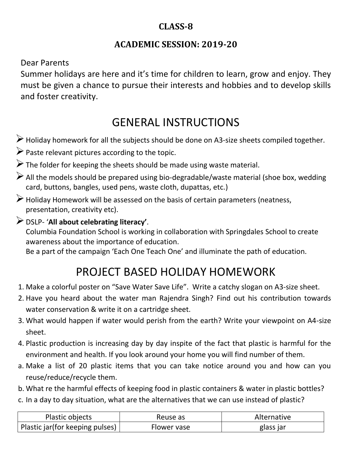### **CLASS-8**

### **ACADEMIC SESSION: 2019-20**

Dear Parents

Summer holidays are here and it's time for children to learn, grow and enjoy. They must be given a chance to pursue their interests and hobbies and to develop skills and foster creativity.

## GENERAL INSTRUCTIONS

- Holiday homework for all the subjects should be done on A3-size sheets compiled together.
- $\triangleright$  Paste relevant pictures according to the topic.
- $\triangleright$  The folder for keeping the sheets should be made using waste material.
- $\triangleright$  All the models should be prepared using bio-degradable/waste material (shoe box, wedding card, buttons, bangles, used pens, waste cloth, dupattas, etc.)
- $\triangleright$  Holiday Homework will be assessed on the basis of certain parameters (neatness, presentation, creativity etc).

#### DSLP- '**All about celebrating literacy'**.

Columbia Foundation School is working in collaboration with Springdales School to create awareness about the importance of education.

Be a part of the campaign 'Each One Teach One' and illuminate the path of education.

## PROJECT BASED HOLIDAY HOMEWORK

- 1. Make a colorful poster on "Save Water Save Life". Write a catchy slogan on A3-size sheet.
- 2. Have you heard about the water man Rajendra Singh? Find out his contribution towards water conservation & write it on a cartridge sheet.
- 3. What would happen if water would perish from the earth? Write your viewpoint on A4-size sheet.
- 4. Plastic production is increasing day by day inspite of the fact that plastic is harmful for the environment and health. If you look around your home you will find number of them.
- a. Make a list of 20 plastic items that you can take notice around you and how can you reuse/reduce/recycle them.
- b. What re the harmful effects of keeping food in plastic containers & water in plastic bottles?
- c. In a day to day situation, what are the alternatives that we can use instead of plastic?

| Plastic objects                 | Reuse as    | Alternative |
|---------------------------------|-------------|-------------|
| Plastic jar(for keeping pulses) | Flower vase | glass jar   |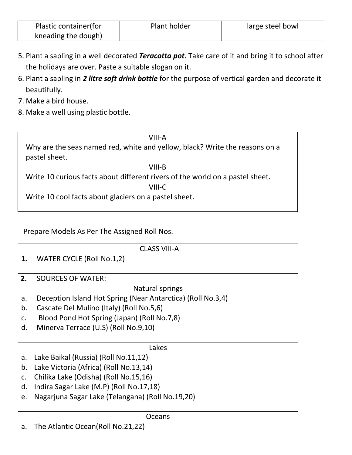| Plastic container (for | Plant holder | large steel bowl |
|------------------------|--------------|------------------|
| kneading the dough)    |              |                  |

- 5. Plant a sapling in a well decorated *Teracotta pot*. Take care of it and bring it to school after the holidays are over. Paste a suitable slogan on it.
- 6. Plant a sapling in *2 litre soft drink bottle* for the purpose of vertical garden and decorate it beautifully.
- 7. Make a bird house.
- 8. Make a well using plastic bottle.

| VIII-A                                                                          |
|---------------------------------------------------------------------------------|
| Why are the seas named red, white and yellow, black? Write the reasons on a     |
| pastel sheet.                                                                   |
| VIII-B                                                                          |
| 10/24 a 10 avvious foote oliout different rivers of the weeks or a postal shoot |

Write 10 curious facts about different rivers of the world on a pastel sheet.

VIII-C Write 10 cool facts about glaciers on a pastel sheet.

Prepare Models As Per The Assigned Roll Nos.

|                | <b>CLASS VIII-A</b>                                         |  |  |
|----------------|-------------------------------------------------------------|--|--|
| 1.             | WATER CYCLE (Roll No.1,2)                                   |  |  |
|                |                                                             |  |  |
| 2.             | <b>SOURCES OF WATER:</b>                                    |  |  |
|                | Natural springs                                             |  |  |
| a.             | Deception Island Hot Spring (Near Antarctica) (Roll No.3,4) |  |  |
| b.             | Cascate Del Mulino (Italy) (Roll No.5,6)                    |  |  |
| $\mathsf{C}$ . | Blood Pond Hot Spring (Japan) (Roll No.7,8)                 |  |  |
| d.             | Minerva Terrace (U.S) (Roll No.9,10)                        |  |  |
|                |                                                             |  |  |
|                | Lakes                                                       |  |  |
| a.             | Lake Baikal (Russia) (Roll No.11,12)                        |  |  |
| b.             | Lake Victoria (Africa) (Roll No.13,14)                      |  |  |
| C.             | Chilika Lake (Odisha) (Roll No.15,16)                       |  |  |
| d.             | Indira Sagar Lake (M.P) (Roll No.17,18)                     |  |  |
| e.             | Nagarjuna Sagar Lake (Telangana) (Roll No.19,20)            |  |  |
|                |                                                             |  |  |
|                | <b>Oceans</b>                                               |  |  |
| a.             | The Atlantic Ocean (Roll No.21,22)                          |  |  |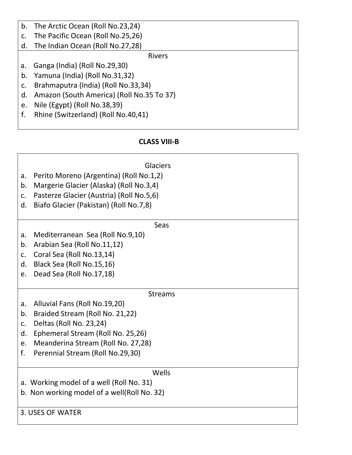| b. | The Arctic Ocean (Roll No.23,24)          |  |
|----|-------------------------------------------|--|
| c. | The Pacific Ocean (Roll No.25,26)         |  |
| d. | The Indian Ocean (Roll No.27,28)          |  |
|    | <b>Rivers</b>                             |  |
| a. | Ganga (India) (Roll No.29,30)             |  |
| b. | Yamuna (India) (Roll No.31,32)            |  |
| c. | Brahmaputra (India) (Roll No.33,34)       |  |
| d. | Amazon (South America) (Roll No.35 To 37) |  |
| e. | Nile (Egypt) (Roll No.38,39)              |  |
| f. | Rhine (Switzerland) (Roll No.40,41)       |  |
|    |                                           |  |

#### **CLASS VIII-B**

|                  | <b>Glaciers</b>                             |
|------------------|---------------------------------------------|
| a.               | Perito Moreno (Argentina) (Roll No.1,2)     |
| b.               | Margerie Glacier (Alaska) (Roll No.3,4)     |
| C.               | Pasterze Glacier (Austria) (Roll No.5,6)    |
| d.               | Biafo Glacier (Pakistan) (Roll No.7,8)      |
|                  |                                             |
|                  | Seas                                        |
| a.               | Mediterranean Sea (Roll No.9,10)            |
| b.               | Arabian Sea (Roll No.11,12)                 |
| C.               | Coral Sea (Roll No.13,14)                   |
| $\mathsf{d}$ .   | Black Sea (Roll No.15,16)                   |
| e.               | Dead Sea (Roll No.17,18)                    |
|                  |                                             |
|                  | <b>Streams</b>                              |
| a.               | Alluvial Fans (Roll No.19,20)               |
| b.               | Braided Stream (Roll No. 21,22)             |
| $C_{\bullet}$    | Deltas (Roll No. 23,24)                     |
| d.               | Ephemeral Stream (Roll No. 25,26)           |
| e.               | Meanderina Stream (Roll No. 27,28)          |
| f.               | Perennial Stream (Roll No.29,30)            |
|                  |                                             |
|                  | Wells                                       |
|                  | a. Working model of a well (Roll No. 31)    |
|                  | b. Non working model of a well(Roll No. 32) |
|                  |                                             |
| 3. USES OF WATER |                                             |
|                  |                                             |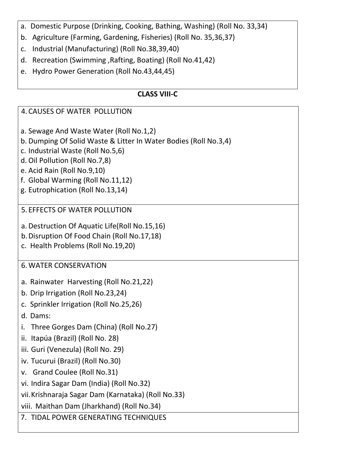- a. Domestic Purpose (Drinking, Cooking, Bathing, Washing) (Roll No. 33,34)
- b. Agriculture (Farming, Gardening, Fisheries) (Roll No. 35,36,37)
- c. Industrial (Manufacturing) (Roll No.38,39,40)
- d. Recreation (Swimming ,Rafting, Boating) (Roll No.41,42)
- e. Hydro Power Generation (Roll No.43,44,45)

#### **CLASS VIII-C**

## 4. CAUSES OF WATER POLLUTION a. Sewage And Waste Water (Roll No.1,2) b. Dumping Of Solid Waste & Litter In Water Bodies (Roll No.3,4) c. Industrial Waste (Roll No.5,6) d. Oil Pollution (Roll No.7,8) e. Acid Rain (Roll No.9,10) f. Global Warming (Roll No.11,12) g. Eutrophication (Roll No.13,14) 5. EFFECTS OF WATER POLLUTION a. Destruction Of Aquatic Life(Roll No.15,16) b.Disruption Of Food Chain (Roll No.17,18) c. Health Problems (Roll No.19,20) 6.WATER CONSERVATION a. Rainwater Harvesting (Roll No.21,22) b. Drip Irrigation (Roll No.23,24) c. Sprinkler Irrigation (Roll No.25,26) d. Dams: i. Three Gorges Dam (China) (Roll No.27) ii. Itapúa (Brazil) (Roll No. 28) iii. Guri (Venezula) (Roll No. 29) iv. Tucurui (Brazil) (Roll No.30) v. Grand Coulee (Roll No.31) vi. Indira Sagar Dam (India) (Roll No.32) vii.Krishnaraja Sagar Dam (Karnataka) (Roll No.33) viii. Maithan Dam (Jharkhand) (Roll No.34) 7. TIDAL POWER GENERATING TECHNIQUES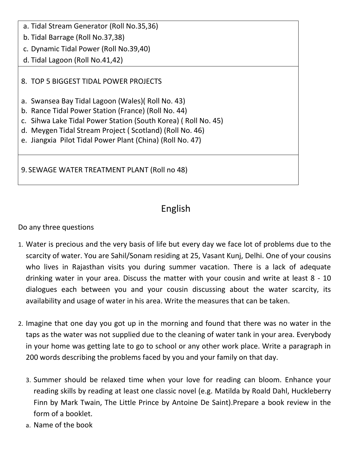| a. Tidal Stream Generator (Roll No.35,36)                                                                                                                                                                                                                                                         |  |
|---------------------------------------------------------------------------------------------------------------------------------------------------------------------------------------------------------------------------------------------------------------------------------------------------|--|
| b. Tidal Barrage (Roll No.37,38)                                                                                                                                                                                                                                                                  |  |
| c. Dynamic Tidal Power (Roll No.39,40)                                                                                                                                                                                                                                                            |  |
| d. Tidal Lagoon (Roll No.41,42)                                                                                                                                                                                                                                                                   |  |
| 8. TOP 5 BIGGEST TIDAL POWER PROJECTS                                                                                                                                                                                                                                                             |  |
| a. Swansea Bay Tidal Lagoon (Wales) (Roll No. 43)<br>b. Rance Tidal Power Station (France) (Roll No. 44)<br>c. Sihwa Lake Tidal Power Station (South Korea) (Roll No. 45)<br>d. Meygen Tidal Stream Project (Scotland) (Roll No. 46)<br>e. Jiangxia Pilot Tidal Power Plant (China) (Roll No. 47) |  |
|                                                                                                                                                                                                                                                                                                   |  |

9. SEWAGE WATER TREATMENT PLANT (Roll no 48)

## English

Do any three questions

- 1. Water is precious and the very basis of life but every day we face lot of problems due to the scarcity of water. You are Sahil/Sonam residing at 25, Vasant Kunj, Delhi. One of your cousins who lives in Rajasthan visits you during summer vacation. There is a lack of adequate drinking water in your area. Discuss the matter with your cousin and write at least 8 - 10 dialogues each between you and your cousin discussing about the water scarcity, its availability and usage of water in his area. Write the measures that can be taken.
- 2. Imagine that one day you got up in the morning and found that there was no water in the taps as the water was not supplied due to the cleaning of water tank in your area. Everybody in your home was getting late to go to school or any other work place. Write a paragraph in 200 words describing the problems faced by you and your family on that day.
	- 3. Summer should be relaxed time when your love for reading can bloom. Enhance your reading skills by reading at least one classic novel (e.g. Matilda by Roald Dahl, Huckleberry Finn by Mark Twain, The Little Prince by Antoine De Saint).Prepare a book review in the form of a booklet.
	- a. Name of the book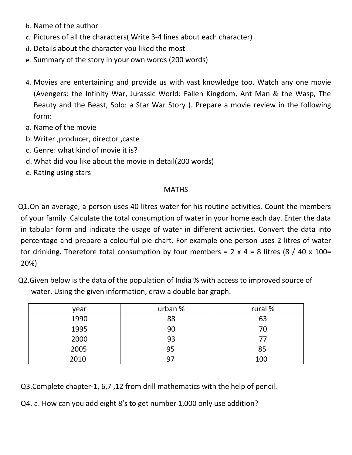- b. Name of the author
- c. Pictures of all the characters( Write 3-4 lines about each character)
- d. Details about the character you liked the most
- e. Summary of the story in your own words (200 words)
- 4. Movies are entertaining and provide us with vast knowledge too. Watch any one movie (Avengers: the Infinity War, Jurassic World: Fallen Kingdom, Ant Man & the Wasp, The Beauty and the Beast, Solo: a Star War Story ). Prepare a movie review in the following form:
- a. Name of the movie
- b. Writer ,producer, director ,caste
- c. Genre: what kind of movie it is?
- d. What did you like about the movie in detail(200 words)
- e. Rating using stars

#### **MATHS**

Q1.On an average, a person uses 40 litres water for his routine activities. Count the members of your family .Calculate the total consumption of water in your home each day. Enter the data in tabular form and indicate the usage of water in different activities. Convert the data into percentage and prepare a colourful pie chart. For example one person uses 2 litres of water for drinking. Therefore total consumption by four members =  $2 \times 4 = 8$  litres (8 / 40 x 100= 20%)

Q2.Given below is the data of the population of India % with access to improved source of water. Using the given information, draw a double bar graph.

| year | urban % | rural % |
|------|---------|---------|
| 1990 | 88      | 63      |
| 1995 | 90      | 70      |
| 2000 | 93      |         |
| 2005 | 95      | 85      |
| 2010 | 97      | 100     |

Q3.Complete chapter-1, 6,7 ,12 from drill mathematics with the help of pencil.

Q4. a. How can you add eight 8's to get number 1,000 only use addition?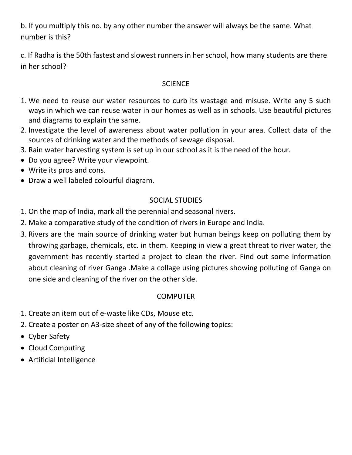b. If you multiply this no. by any other number the answer will always be the same. What number is this?

c. If Radha is the 50th fastest and slowest runners in her school, how many students are there in her school?

#### **SCIENCE**

- 1. We need to reuse our water resources to curb its wastage and misuse. Write any 5 such ways in which we can reuse water in our homes as well as in schools. Use beautiful pictures and diagrams to explain the same.
- 2. Investigate the level of awareness about water pollution in your area. Collect data of the sources of drinking water and the methods of sewage disposal.
- 3. Rain water harvesting system is set up in our school as it is the need of the hour.
- Do you agree? Write your viewpoint.
- Write its pros and cons.
- Draw a well labeled colourful diagram.

#### SOCIAL STUDIES

- 1. On the map of India, mark all the perennial and seasonal rivers.
- 2. Make a comparative study of the condition of rivers in Europe and India.
- 3. Rivers are the main source of drinking water but human beings keep on polluting them by throwing garbage, chemicals, etc. in them. Keeping in view a great threat to river water, the government has recently started a project to clean the river. Find out some information about cleaning of river Ganga .Make a collage using pictures showing polluting of Ganga on one side and cleaning of the river on the other side.

#### COMPUTER

- 1. Create an item out of e-waste like CDs, Mouse etc.
- 2. Create a poster on A3-size sheet of any of the following topics:
- Cyber Safety
- Cloud Computing
- Artificial Intelligence